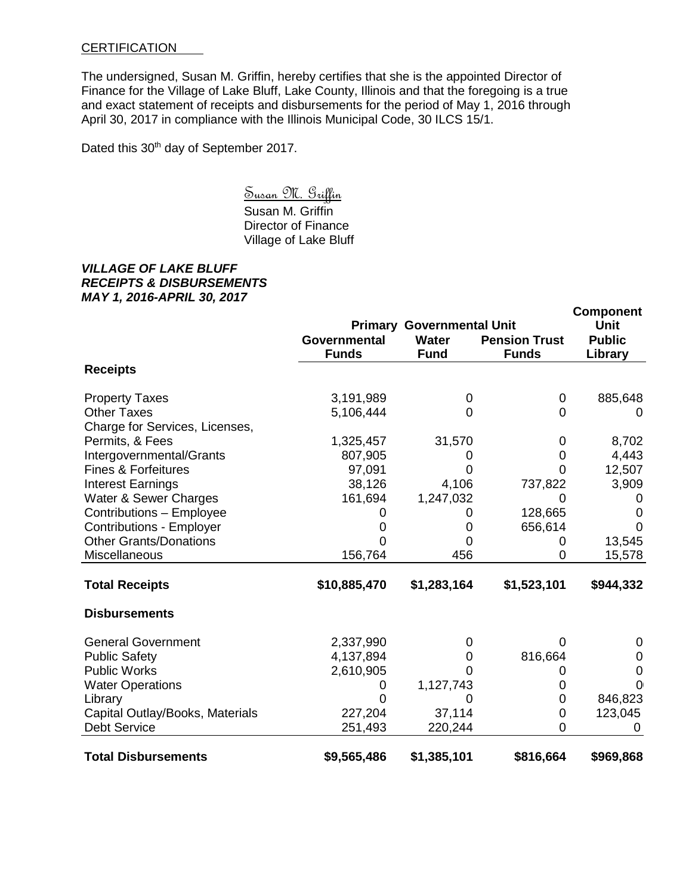## **CERTIFICATION**

The undersigned, Susan M. Griffin, hereby certifies that she is the appointed Director of Finance for the Village of Lake Bluff, Lake County, Illinois and that the foregoing is a true and exact statement of receipts and disbursements for the period of May 1, 2016 through April 30, 2017 in compliance with the Illinois Municipal Code, 30 ILCS 15/1.

Dated this 30<sup>th</sup> day of September 2017.

Susan M. Griffin

Susan M. Griffin Director of Finance Village of Lake Bluff

## *VILLAGE OF LAKE BLUFF RECEIPTS & DISBURSEMENTS MAY 1, 2016-APRIL 30, 2017*

|                                 |                                     |                                  |                                      | <b>Component</b>             |
|---------------------------------|-------------------------------------|----------------------------------|--------------------------------------|------------------------------|
|                                 |                                     | <b>Primary Governmental Unit</b> |                                      | <b>Unit</b><br><b>Public</b> |
|                                 | <b>Governmental</b><br><b>Funds</b> | <b>Water</b><br><b>Fund</b>      | <b>Pension Trust</b><br><b>Funds</b> | Library                      |
| <b>Receipts</b>                 |                                     |                                  |                                      |                              |
| <b>Property Taxes</b>           | 3,191,989                           | 0                                | $\mathbf 0$                          | 885,648                      |
| <b>Other Taxes</b>              | 5,106,444                           | $\Omega$                         | 0                                    | $\Omega$                     |
| Charge for Services, Licenses,  |                                     |                                  |                                      |                              |
| Permits, & Fees                 | 1,325,457                           | 31,570                           | 0                                    | 8,702                        |
| Intergovernmental/Grants        | 807,905                             | O                                | 0                                    | 4,443                        |
| <b>Fines &amp; Forfeitures</b>  | 97,091                              | O                                | 0                                    | 12,507                       |
| <b>Interest Earnings</b>        | 38,126                              | 4,106                            | 737,822                              | 3,909                        |
| Water & Sewer Charges           | 161,694                             | 1,247,032                        | 0                                    | O                            |
| Contributions - Employee        |                                     | U                                | 128,665                              | 0                            |
| <b>Contributions - Employer</b> |                                     | 0                                | 656,614                              | $\Omega$                     |
| <b>Other Grants/Donations</b>   |                                     | 0                                | 0                                    | 13,545                       |
| Miscellaneous                   | 156,764                             | 456                              | 0                                    | 15,578                       |
| <b>Total Receipts</b>           | \$10,885,470                        | \$1,283,164                      | \$1,523,101                          | \$944,332                    |
| <b>Disbursements</b>            |                                     |                                  |                                      |                              |
| <b>General Government</b>       | 2,337,990                           | 0                                | 0                                    | 0                            |
| <b>Public Safety</b>            | 4,137,894                           | 0                                | 816,664                              | 0                            |
| <b>Public Works</b>             | 2,610,905                           | O                                | 0                                    | 0                            |
| <b>Water Operations</b>         | O                                   | 1,127,743                        | 0                                    | O(                           |
| Library                         | 0                                   | 0                                | 0                                    | 846,823                      |
| Capital Outlay/Books, Materials | 227,204                             | 37,114                           | 0                                    | 123,045                      |
| <b>Debt Service</b>             | 251,493                             | 220,244                          | 0                                    |                              |
| <b>Total Disbursements</b>      | \$9,565,486                         | \$1,385,101                      | \$816,664                            | \$969,868                    |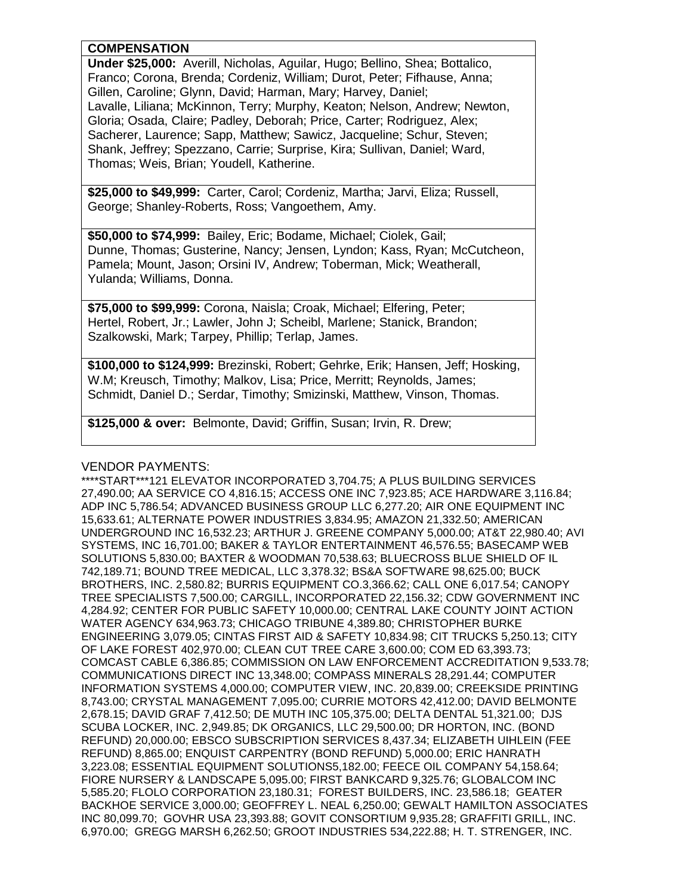## **COMPENSATION**

**Under \$25,000:** Averill, Nicholas, Aguilar, Hugo; Bellino, Shea; Bottalico, Franco; Corona, Brenda; Cordeniz, William; Durot, Peter; Fifhause, Anna; Gillen, Caroline; Glynn, David; Harman, Mary; Harvey, Daniel; Lavalle, Liliana; McKinnon, Terry; Murphy, Keaton; Nelson, Andrew; Newton, Gloria; Osada, Claire; Padley, Deborah; Price, Carter; Rodriguez, Alex; Sacherer, Laurence; Sapp, Matthew; Sawicz, Jacqueline; Schur, Steven; Shank, Jeffrey; Spezzano, Carrie; Surprise, Kira; Sullivan, Daniel; Ward, Thomas; Weis, Brian; Youdell, Katherine.

**\$25,000 to \$49,999:** Carter, Carol; Cordeniz, Martha; Jarvi, Eliza; Russell, George; Shanley-Roberts, Ross; Vangoethem, Amy.

**\$50,000 to \$74,999:** Bailey, Eric; Bodame, Michael; Ciolek, Gail; Dunne, Thomas; Gusterine, Nancy; Jensen, Lyndon; Kass, Ryan; McCutcheon, Pamela; Mount, Jason; Orsini IV, Andrew; Toberman, Mick; Weatherall, Yulanda; Williams, Donna.

**\$75,000 to \$99,999:** Corona, Naisla; Croak, Michael; Elfering, Peter; Hertel, Robert, Jr.; Lawler, John J; Scheibl, Marlene; Stanick, Brandon; Szalkowski, Mark; Tarpey, Phillip; Terlap, James.

**\$100,000 to \$124,999:** Brezinski, Robert; Gehrke, Erik; Hansen, Jeff; Hosking, W.M; Kreusch, Timothy; Malkov, Lisa; Price, Merritt; Reynolds, James; Schmidt, Daniel D.; Serdar, Timothy; Smizinski, Matthew, Vinson, Thomas.

**\$125,000 & over:** Belmonte, David; Griffin, Susan; Irvin, R. Drew;

## VENDOR PAYMENTS:

\*\*\*\*START\*\*\*121 ELEVATOR INCORPORATED 3,704.75; A PLUS BUILDING SERVICES 27,490.00; AA SERVICE CO 4,816.15; ACCESS ONE INC 7,923.85; ACE HARDWARE 3,116.84; ADP INC 5,786.54; ADVANCED BUSINESS GROUP LLC 6,277.20; AIR ONE EQUIPMENT INC 15,633.61; ALTERNATE POWER INDUSTRIES 3,834.95; AMAZON 21,332.50; AMERICAN UNDERGROUND INC 16,532.23; ARTHUR J. GREENE COMPANY 5,000.00; AT&T 22,980.40; AVI SYSTEMS, INC 16,701.00; BAKER & TAYLOR ENTERTAINMENT 46,576.55; BASECAMP WEB SOLUTIONS 5,830.00; BAXTER & WOODMAN 70,538.63; BLUECROSS BLUE SHIELD OF IL 742,189.71; BOUND TREE MEDICAL, LLC 3,378.32; BS&A SOFTWARE 98,625.00; BUCK BROTHERS, INC. 2,580.82; BURRIS EQUIPMENT CO.3,366.62; CALL ONE 6,017.54; CANOPY TREE SPECIALISTS 7,500.00; CARGILL, INCORPORATED 22,156.32; CDW GOVERNMENT INC 4,284.92; CENTER FOR PUBLIC SAFETY 10,000.00; CENTRAL LAKE COUNTY JOINT ACTION WATER AGENCY 634,963.73; CHICAGO TRIBUNE 4,389.80; CHRISTOPHER BURKE ENGINEERING 3,079.05; CINTAS FIRST AID & SAFETY 10,834.98; CIT TRUCKS 5,250.13; CITY OF LAKE FOREST 402,970.00; CLEAN CUT TREE CARE 3,600.00; COM ED 63,393.73; COMCAST CABLE 6,386.85; COMMISSION ON LAW ENFORCEMENT ACCREDITATION 9,533.78; COMMUNICATIONS DIRECT INC 13,348.00; COMPASS MINERALS 28,291.44; COMPUTER INFORMATION SYSTEMS 4,000.00; COMPUTER VIEW, INC. 20,839.00; CREEKSIDE PRINTING 8,743.00; CRYSTAL MANAGEMENT 7,095.00; CURRIE MOTORS 42,412.00; DAVID BELMONTE 2,678.15; DAVID GRAF 7,412.50; DE MUTH INC 105,375.00; DELTA DENTAL 51,321.00; DJS SCUBA LOCKER, INC. 2,949.85; DK ORGANICS, LLC 29,500.00; DR HORTON, INC. (BOND REFUND) 20,000.00; EBSCO SUBSCRIPTION SERVICES 8,437.34; ELIZABETH UIHLEIN (FEE REFUND) 8,865.00; ENQUIST CARPENTRY (BOND REFUND) 5,000.00; ERIC HANRATH 3,223.08; ESSENTIAL EQUIPMENT SOLUTIONS5,182.00; FEECE OIL COMPANY 54,158.64; FIORE NURSERY & LANDSCAPE 5,095.00; FIRST BANKCARD 9,325.76; GLOBALCOM INC 5,585.20; FLOLO CORPORATION 23,180.31; FOREST BUILDERS, INC. 23,586.18; GEATER BACKHOE SERVICE 3,000.00; GEOFFREY L. NEAL 6,250.00; GEWALT HAMILTON ASSOCIATES INC 80,099.70; GOVHR USA 23,393.88; GOVIT CONSORTIUM 9,935.28; GRAFFITI GRILL, INC. 6,970.00; GREGG MARSH 6,262.50; GROOT INDUSTRIES 534,222.88; H. T. STRENGER, INC.